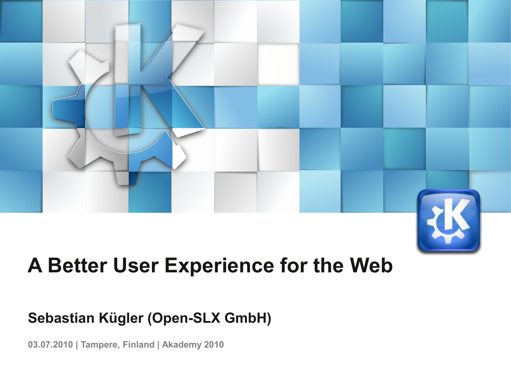

## **A Better User Experience for the Web**

#### **Sebastian Kügler (Open-SLX GmbH)**

**03.07.2010 | Tampere, Finland | Akademy 2010**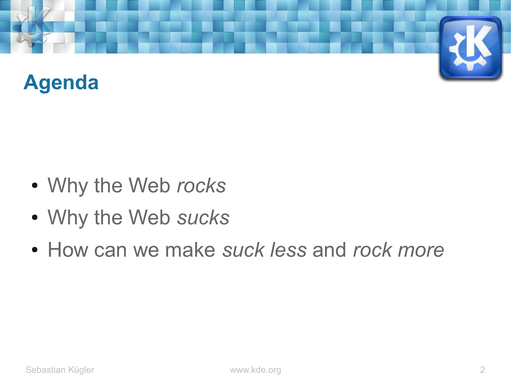

- Why the Web *rocks*
- Why the Web *sucks*
- How can we make *suck less* and *rock more*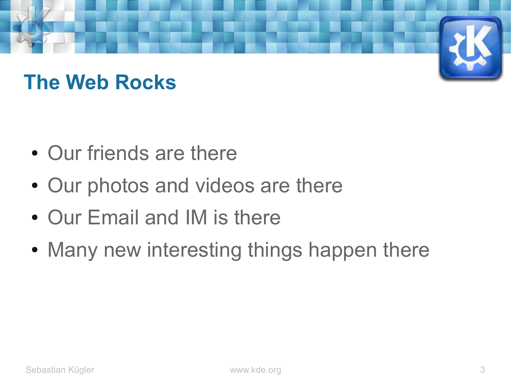## **The Web Rocks**

- Our friends are there
- Our photos and videos are there
- Our Email and IM is there
- Many new interesting things happen there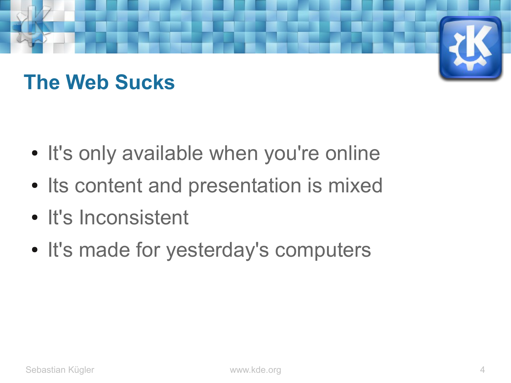## **The Web Sucks**

- It's only available when you're online
- Its content and presentation is mixed
- It's Inconsistent
- It's made for yesterday's computers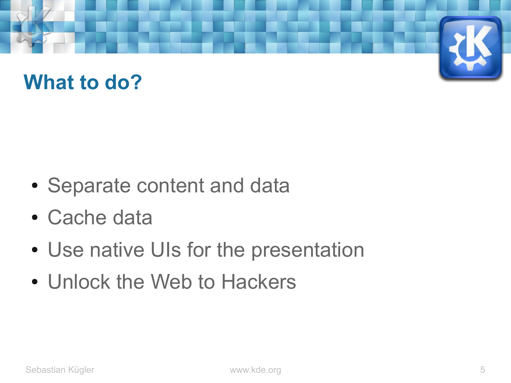#### **What to do?**

- Separate content and data
- Cache data
- Use native UIs for the presentation
- Unlock the Web to Hackers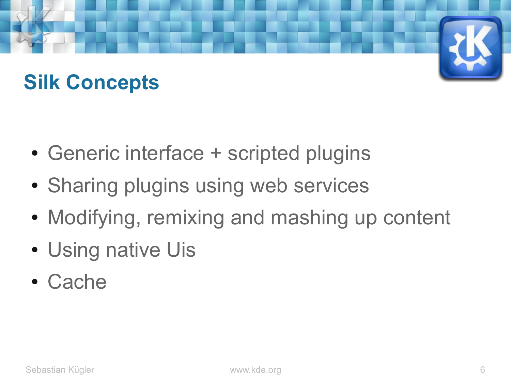## **Silk Concepts**

- Generic interface + scripted plugins
- Sharing plugins using web services
- Modifying, remixing and mashing up content
- Using native Uis
- Cache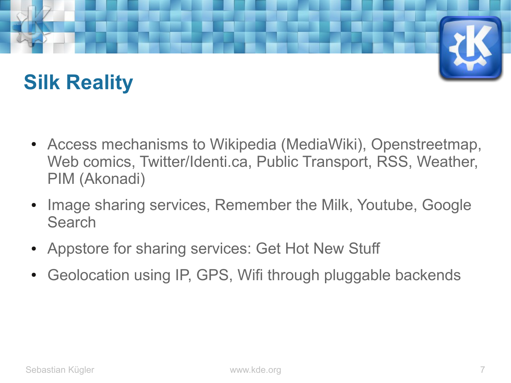## **Silk Reality**

- Access mechanisms to Wikipedia (MediaWiki), Openstreetmap, Web comics, Twitter/Identi.ca, Public Transport, RSS, Weather, PIM (Akonadi)
- Image sharing services, Remember the Milk, Youtube, Google **Search**
- Appstore for sharing services: Get Hot New Stuff
- Geolocation using IP, GPS, Wifi through pluggable backends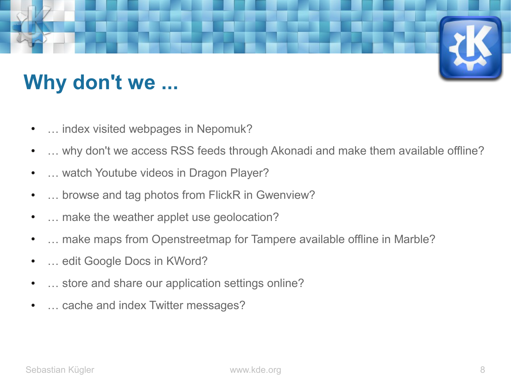# **Why don't we ...**

- ... index visited webpages in Nepomuk?
- ... why don't we access RSS feeds through Akonadi and make them available offline?
- ... watch Youtube videos in Dragon Player?
- ... browse and tag photos from FlickR in Gwenview?
- ... make the weather applet use geolocation?
- ... make maps from Openstreetmap for Tampere available offline in Marble?
- ... edit Google Docs in KWord?
- ... store and share our application settings online?
- ... cache and index Twitter messages?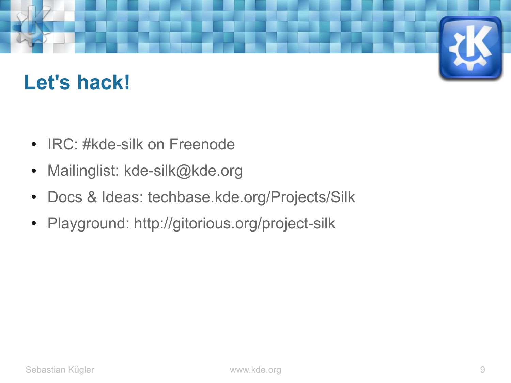#### **Let's hack!**

- IRC: #kde-silk on Freenode
- Mailinglist: kde-silk@kde.org
- Docs & Ideas: techbase.kde.org/Projects/Silk
- Playground: http://gitorious.org/project-silk